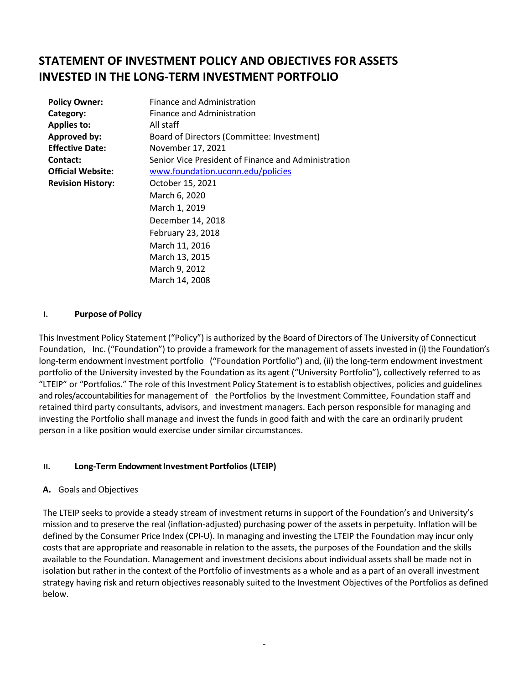# **STATEMENT OF INVESTMENT POLICY AND OBJECTIVES FOR ASSETS INVESTED IN THE LONG-TERM INVESTMENT PORTFOLIO**

| <b>Finance and Administration</b>                   |  |  |  |  |
|-----------------------------------------------------|--|--|--|--|
| Finance and Administration                          |  |  |  |  |
| All staff                                           |  |  |  |  |
| Board of Directors (Committee: Investment)          |  |  |  |  |
| November 17, 2021                                   |  |  |  |  |
| Senior Vice President of Finance and Administration |  |  |  |  |
| www.foundation.uconn.edu/policies                   |  |  |  |  |
| October 15, 2021                                    |  |  |  |  |
| March 6, 2020                                       |  |  |  |  |
| March 1, 2019                                       |  |  |  |  |
| December 14, 2018                                   |  |  |  |  |
| February 23, 2018                                   |  |  |  |  |
| March 11, 2016                                      |  |  |  |  |
| March 13, 2015                                      |  |  |  |  |
| March 9, 2012                                       |  |  |  |  |
| March 14, 2008                                      |  |  |  |  |
|                                                     |  |  |  |  |

#### **I. Purpose of Policy**

This Investment Policy Statement ("Policy") is authorized by the Board of Directors of The University of Connecticut Foundation, Inc. ("Foundation") to provide a framework for the management of assetsinvested in (i) the Foundation's long-term endowment investment portfolio ("Foundation Portfolio") and, (ii) the long-term endowment investment portfolio of the University invested by the Foundation as its agent ("University Portfolio"), collectively referred to as "LTEIP" or "Portfolios." The role of this Investment Policy Statement is to establish objectives, policies and guidelines and roles/accountabilities for management of the Portfolios by the Investment Committee, Foundation staff and retained third party consultants, advisors, and investment managers. Each person responsible for managing and investing the Portfolio shall manage and invest the funds in good faith and with the care an ordinarily prudent person in a like position would exercise under similar circumstances.

## **II. Long-Term Endowment Investment Portfolios (LTEIP)**

#### **A.** Goals and Objectives

The LTEIP seeks to provide a steady stream of investment returns in support of the Foundation's and University's mission and to preserve the real (inflation-adjusted) purchasing power of the assets in perpetuity. Inflation will be defined by the Consumer Price Index (CPI-U). In managing and investing the LTEIP the Foundation may incur only costs that are appropriate and reasonable in relation to the assets, the purposes of the Foundation and the skills available to the Foundation. Management and investment decisions about individual assets shall be made not in isolation but rather in the context of the Portfolio of investments as a whole and as a part of an overall investment strategy having risk and return objectives reasonably suited to the Investment Objectives of the Portfolios as defined below.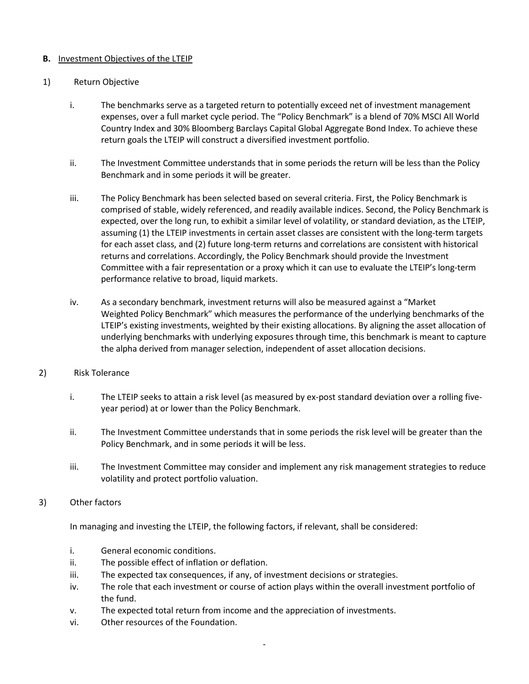#### **B.** Investment Objectives of the LTEIP

#### 1) Return Objective

- i. The benchmarks serve as a targeted return to potentially exceed net of investment management expenses, over a full market cycle period. The "Policy Benchmark" is a blend of 70% MSCI All World Country Index and 30% Bloomberg Barclays Capital Global Aggregate Bond Index. To achieve these return goals the LTEIP will construct a diversified investment portfolio.
- ii. The Investment Committee understands that in some periods the return will be less than the Policy Benchmark and in some periods it will be greater.
- iii. The Policy Benchmark has been selected based on several criteria. First, the Policy Benchmark is comprised of stable, widely referenced, and readily available indices. Second, the Policy Benchmark is expected, over the long run, to exhibit a similar level of volatility, or standard deviation, as the LTEIP, assuming (1) the LTEIP investments in certain asset classes are consistent with the long-term targets for each asset class, and (2) future long-term returns and correlations are consistent with historical returns and correlations. Accordingly, the Policy Benchmark should provide the Investment Committee with a fair representation or a proxy which it can use to evaluate the LTEIP's long-term performance relative to broad, liquid markets.
- iv. As a secondary benchmark, investment returns will also be measured against a "Market Weighted Policy Benchmark" which measures the performance of the underlying benchmarks of the LTEIP's existing investments, weighted by their existing allocations. By aligning the asset allocation of underlying benchmarks with underlying exposures through time, this benchmark is meant to capture the alpha derived from manager selection, independent of asset allocation decisions.

#### 2) Risk Tolerance

- i. The LTEIP seeks to attain a risk level (as measured by ex-post standard deviation over a rolling fiveyear period) at or lower than the Policy Benchmark.
- ii. The Investment Committee understands that in some periods the risk level will be greater than the Policy Benchmark, and in some periods it will be less.
- iii. The Investment Committee may consider and implement any risk management strategies to reduce volatility and protect portfolio valuation.
- 3) Other factors

In managing and investing the LTEIP, the following factors, if relevant, shall be considered:

- i. General economic conditions.
- ii. The possible effect of inflation or deflation.
- iii. The expected tax consequences, if any, of investment decisions or strategies.
- iv. The role that each investment or course of action plays within the overall investment portfolio of the fund.
- v. The expected total return from income and the appreciation of investments.
- vi. Other resources of the Foundation.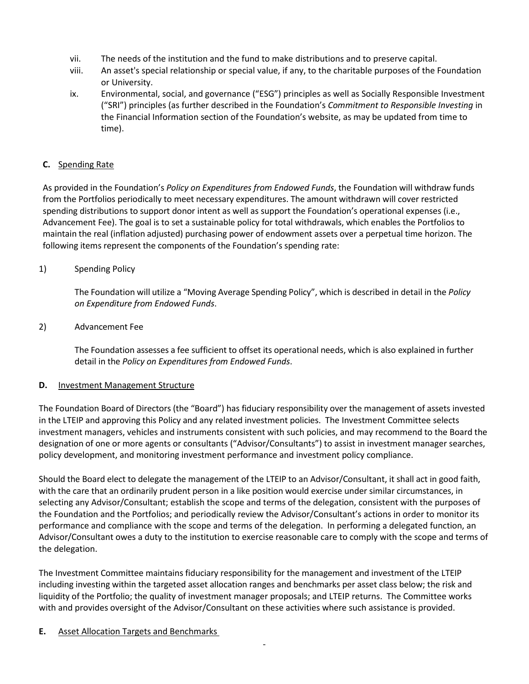- vii. The needs of the institution and the fund to make distributions and to preserve capital.
- viii. An asset's special relationship or special value, if any, to the charitable purposes of the Foundation or University.
- ix. Environmental, social, and governance ("ESG") principles as well as Socially Responsible Investment ("SRI") principles (as further described in the Foundation's *Commitment to Responsible Investing* in the Financial Information section of the Foundation's website, as may be updated from time to time).

## **C.** Spending Rate

As provided in the Foundation's *Policy on Expenditures from Endowed Funds*, the Foundation will withdraw funds from the Portfolios periodically to meet necessary expenditures. The amount withdrawn will cover restricted spending distributions to support donor intent as well as support the Foundation's operational expenses (i.e., Advancement Fee). The goal is to set a sustainable policy for total withdrawals, which enables the Portfolios to maintain the real (inflation adjusted) purchasing power of endowment assets over a perpetual time horizon. The following items represent the components of the Foundation's spending rate:

# 1) Spending Policy

The Foundation will utilize a "Moving Average Spending Policy", which is described in detail in the *Policy on Expenditure from Endowed Funds*.

## 2) Advancement Fee

The Foundation assesses a fee sufficient to offset its operational needs, which is also explained in further detail in the *Policy on Expenditures from Endowed Funds*.

## **D.** Investment Management Structure

The Foundation Board of Directors (the "Board") has fiduciary responsibility over the management of assets invested in the LTEIP and approving this Policy and any related investment policies. The Investment Committee selects investment managers, vehicles and instruments consistent with such policies, and may recommend to the Board the designation of one or more agents or consultants ("Advisor/Consultants") to assist in investment manager searches, policy development, and monitoring investment performance and investment policy compliance.

Should the Board elect to delegate the management of the LTEIP to an Advisor/Consultant, it shall act in good faith, with the care that an ordinarily prudent person in a like position would exercise under similar circumstances, in selecting any Advisor/Consultant; establish the scope and terms of the delegation, consistent with the purposes of the Foundation and the Portfolios; and periodically review the Advisor/Consultant's actions in order to monitor its performance and compliance with the scope and terms of the delegation. In performing a delegated function, an Advisor/Consultant owes a duty to the institution to exercise reasonable care to comply with the scope and terms of the delegation.

The Investment Committee maintains fiduciary responsibility for the management and investment of the LTEIP including investing within the targeted asset allocation ranges and benchmarks per asset class below; the risk and liquidity of the Portfolio; the quality of investment manager proposals; and LTEIP returns. The Committee works with and provides oversight of the Advisor/Consultant on these activities where such assistance is provided.

## **E.** Asset Allocation Targets and Benchmarks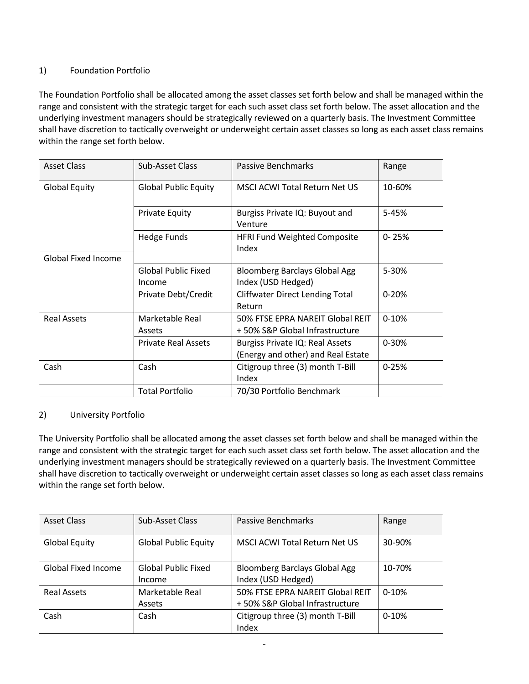# 1) Foundation Portfolio

The Foundation Portfolio shall be allocated among the asset classes set forth below and shall be managed within the range and consistent with the strategic target for each such asset class set forth below. The asset allocation and the underlying investment managers should be strategically reviewed on a quarterly basis. The Investment Committee shall have discretion to tactically overweight or underweight certain asset classes so long as each asset class remains within the range set forth below.

| <b>Asset Class</b>   | Sub-Asset Class                      | Passive Benchmarks                                                    | Range     |
|----------------------|--------------------------------------|-----------------------------------------------------------------------|-----------|
| <b>Global Equity</b> | <b>Global Public Equity</b>          | <b>MSCI ACWI Total Return Net US</b>                                  | 10-60%    |
|                      | <b>Private Equity</b>                | Burgiss Private IQ: Buyout and<br>Venture                             | 5-45%     |
|                      | Hedge Funds                          | <b>HFRI Fund Weighted Composite</b><br>Index                          | $0 - 25%$ |
| Global Fixed Income  |                                      |                                                                       |           |
|                      | <b>Global Public Fixed</b><br>Income | <b>Bloomberg Barclays Global Agg</b><br>Index (USD Hedged)            | 5-30%     |
|                      | Private Debt/Credit                  | <b>Cliffwater Direct Lending Total</b><br>Return                      | $0 - 20%$ |
| <b>Real Assets</b>   | Marketable Real<br>Assets            | 50% FTSE EPRA NAREIT Global REIT<br>+50% S&P Global Infrastructure    | $0 - 10%$ |
|                      | <b>Private Real Assets</b>           | Burgiss Private IQ: Real Assets<br>(Energy and other) and Real Estate | $0 - 30%$ |
| Cash                 | Cash                                 | Citigroup three (3) month T-Bill<br>Index                             | $0 - 25%$ |
|                      | <b>Total Portfolio</b>               | 70/30 Portfolio Benchmark                                             |           |

## 2) University Portfolio

The University Portfolio shall be allocated among the asset classes set forth below and shall be managed within the range and consistent with the strategic target for each such asset class set forth below. The asset allocation and the underlying investment managers should be strategically reviewed on a quarterly basis. The Investment Committee shall have discretion to tactically overweight or underweight certain asset classes so long as each asset class remains within the range set forth below.

| <b>Asset Class</b>   | Sub-Asset Class                      | Passive Benchmarks                                                 | Range   |
|----------------------|--------------------------------------|--------------------------------------------------------------------|---------|
| <b>Global Equity</b> | <b>Global Public Equity</b>          | MSCI ACWI Total Return Net US                                      | 30-90%  |
| Global Fixed Income  | <b>Global Public Fixed</b><br>Income | <b>Bloomberg Barclays Global Agg</b><br>Index (USD Hedged)         | 10-70%  |
| <b>Real Assets</b>   | Marketable Real<br>Assets            | 50% FTSE EPRA NAREIT Global REIT<br>+50% S&P Global Infrastructure | $0-10%$ |
| Cash                 | Cash                                 | Citigroup three (3) month T-Bill<br>Index                          | $0-10%$ |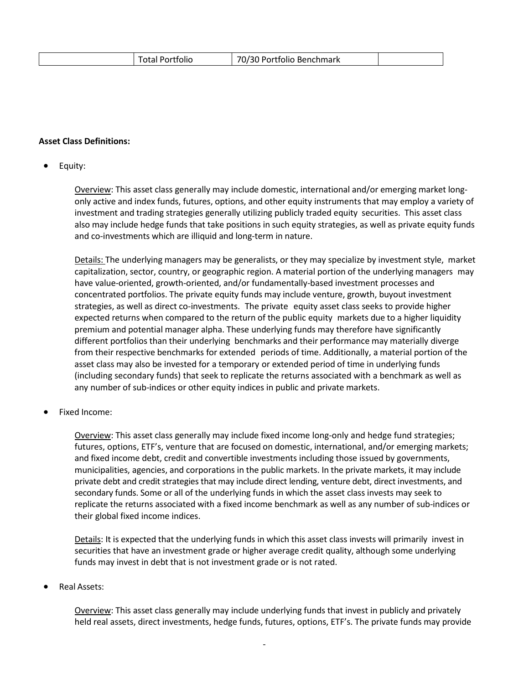|  |  |  | $\neg \sim$<br>. Portfolio Benchmark |  |
|--|--|--|--------------------------------------|--|
|--|--|--|--------------------------------------|--|

#### **Asset Class Definitions:**

#### • Equity:

Overview: This asset class generally may include domestic, international and/or emerging market longonly active and index funds, futures, options, and other equity instruments that may employ a variety of investment and trading strategies generally utilizing publicly traded equity securities. This asset class also may include hedge funds that take positions in such equity strategies, as well as private equity funds and co-investments which are illiquid and long-term in nature.

Details: The underlying managers may be generalists, or they may specialize by investment style, market capitalization, sector, country, or geographic region. A material portion of the underlying managers may have value-oriented, growth-oriented, and/or fundamentally-based investment processes and concentrated portfolios. The private equity funds may include venture, growth, buyout investment strategies, as well as direct co-investments. The private equity asset class seeks to provide higher expected returns when compared to the return of the public equity markets due to a higher liquidity premium and potential manager alpha. These underlying funds may therefore have significantly different portfolios than their underlying benchmarks and their performance may materially diverge from their respective benchmarks for extended periods of time. Additionally, a material portion of the asset class may also be invested for a temporary or extended period of time in underlying funds (including secondary funds) that seek to replicate the returns associated with a benchmark as well as any number of sub-indices or other equity indices in public and private markets.

• Fixed Income:

Overview: This asset class generally may include fixed income long-only and hedge fund strategies; futures, options, ETF's, venture that are focused on domestic, international, and/or emerging markets; and fixed income debt, credit and convertible investments including those issued by governments, municipalities, agencies, and corporations in the public markets. In the private markets, it may include private debt and credit strategies that may include direct lending, venture debt, direct investments, and secondary funds. Some or all of the underlying funds in which the asset class invests may seek to replicate the returns associated with a fixed income benchmark as well as any number of sub-indices or their global fixed income indices.

Details: It is expected that the underlying funds in which this asset class invests will primarily invest in securities that have an investment grade or higher average credit quality, although some underlying funds may invest in debt that is not investment grade or is not rated.

• Real Assets:

Overview: This asset class generally may include underlying funds that invest in publicly and privately held real assets, direct investments, hedge funds, futures, options, ETF's. The private funds may provide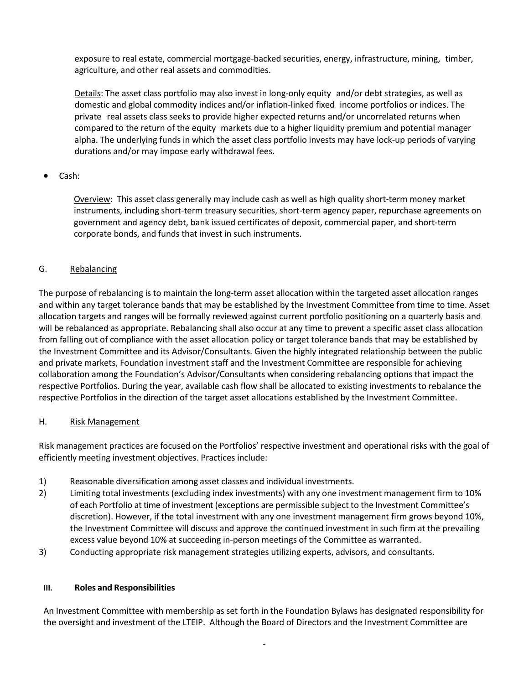exposure to real estate, commercial mortgage-backed securities, energy, infrastructure, mining, timber, agriculture, and other real assets and commodities.

Details: The asset class portfolio may also invest in long-only equity and/or debt strategies, as well as domestic and global commodity indices and/or inflation-linked fixed income portfolios or indices. The private real assets class seeks to provide higher expected returns and/or uncorrelated returns when compared to the return of the equity markets due to a higher liquidity premium and potential manager alpha. The underlying funds in which the asset class portfolio invests may have lock-up periods of varying durations and/or may impose early withdrawal fees.

## • Cash:

Overview: This asset class generally may include cash as well as high quality short-term money market instruments, including short-term treasury securities, short-term agency paper, repurchase agreements on government and agency debt, bank issued certificates of deposit, commercial paper, and short-term corporate bonds, and funds that invest in such instruments.

## G. Rebalancing

The purpose of rebalancing is to maintain the long-term asset allocation within the targeted asset allocation ranges and within any target tolerance bands that may be established by the Investment Committee from time to time. Asset allocation targets and ranges will be formally reviewed against current portfolio positioning on a quarterly basis and will be rebalanced as appropriate. Rebalancing shall also occur at any time to prevent a specific asset class allocation from falling out of compliance with the asset allocation policy or target tolerance bands that may be established by the Investment Committee and its Advisor/Consultants. Given the highly integrated relationship between the public and private markets, Foundation investment staff and the Investment Committee are responsible for achieving collaboration among the Foundation's Advisor/Consultants when considering rebalancing options that impact the respective Portfolios. During the year, available cash flow shall be allocated to existing investments to rebalance the respective Portfolios in the direction of the target asset allocations established by the Investment Committee.

## H. Risk Management

Risk management practices are focused on the Portfolios' respective investment and operational risks with the goal of efficiently meeting investment objectives. Practices include:

- 1) Reasonable diversification among asset classes and individual investments.
- 2) Limiting total investments (excluding index investments) with any one investment management firm to 10% of each Portfolio at time of investment (exceptions are permissible subject to the Investment Committee's discretion). However, if the total investment with any one investment management firm grows beyond 10%, the Investment Committee will discuss and approve the continued investment in such firm at the prevailing excess value beyond 10% at succeeding in-person meetings of the Committee as warranted.
- 3) Conducting appropriate risk management strategies utilizing experts, advisors, and consultants.

#### **III. Roles and Responsibilities**

An Investment Committee with membership as set forth in the Foundation Bylaws has designated responsibility for the oversight and investment of the LTEIP. Although the Board of Directors and the Investment Committee are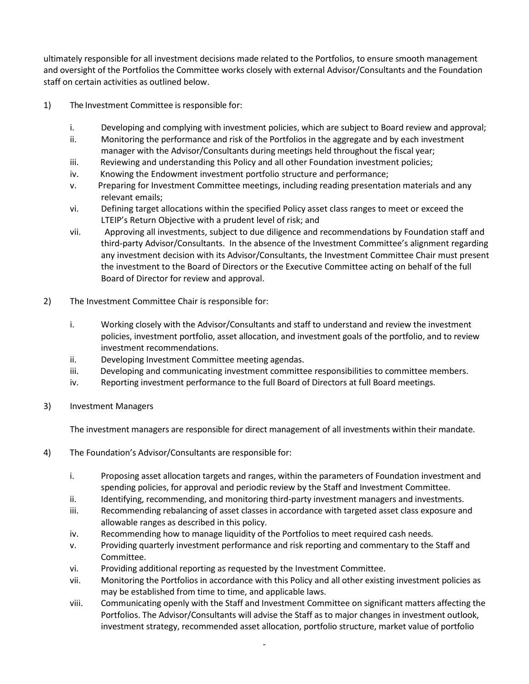ultimately responsible for all investment decisions made related to the Portfolios, to ensure smooth management and oversight of the Portfolios the Committee works closely with external Advisor/Consultants and the Foundation staff on certain activities as outlined below.

- 1) The Investment Committee is responsible for:
	- i. Developing and complying with investment policies, which are subject to Board review and approval;
	- ii. Monitoring the performance and risk of the Portfolios in the aggregate and by each investment manager with the Advisor/Consultants during meetings held throughout the fiscal year;
	- iii. Reviewing and understanding this Policy and all other Foundation investment policies;
	- iv. Knowing the Endowment investment portfolio structure and performance;
	- v. Preparing for Investment Committee meetings, including reading presentation materials and any relevant emails;
	- vi. Defining target allocations within the specified Policy asset class ranges to meet or exceed the LTEIP's Return Objective with a prudent level of risk; and
	- vii. Approving all investments, subject to due diligence and recommendations by Foundation staff and third-party Advisor/Consultants. In the absence of the Investment Committee's alignment regarding any investment decision with its Advisor/Consultants, the Investment Committee Chair must present the investment to the Board of Directors or the Executive Committee acting on behalf of the full Board of Director for review and approval.
- 2) The Investment Committee Chair is responsible for:
	- i. Working closely with the Advisor/Consultants and staff to understand and review the investment policies, investment portfolio, asset allocation, and investment goals of the portfolio, and to review investment recommendations.
	- ii. Developing Investment Committee meeting agendas.
	- iii. Developing and communicating investment committee responsibilities to committee members.
	- iv. Reporting investment performance to the full Board of Directors at full Board meetings.
- 3) Investment Managers

The investment managers are responsible for direct management of all investments within their mandate.

- 4) The Foundation's Advisor/Consultants are responsible for:
	- i. Proposing asset allocation targets and ranges, within the parameters of Foundation investment and spending policies, for approval and periodic review by the Staff and Investment Committee.
	- ii. Identifying, recommending, and monitoring third-party investment managers and investments.
	- iii. Recommending rebalancing of asset classes in accordance with targeted asset class exposure and allowable ranges as described in this policy.
	- iv. Recommending how to manage liquidity of the Portfolios to meet required cash needs.
	- v. Providing quarterly investment performance and risk reporting and commentary to the Staff and Committee.
	- vi. Providing additional reporting as requested by the Investment Committee.
	- vii. Monitoring the Portfolios in accordance with this Policy and all other existing investment policies as may be established from time to time, and applicable laws.
	- viii. Communicating openly with the Staff and Investment Committee on significant matters affecting the Portfolios. The Advisor/Consultants will advise the Staff as to major changes in investment outlook, investment strategy, recommended asset allocation, portfolio structure, market value of portfolio